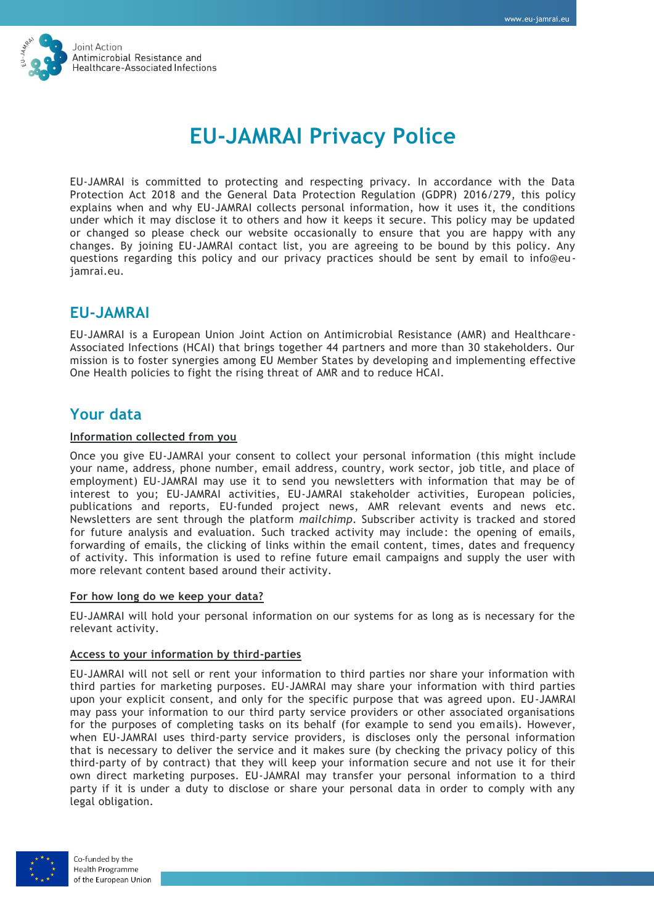

# **EU-JAMRAI Privacy Police**

EU-JAMRAI is committed to protecting and respecting privacy. In accordance with the Data Protection Act 2018 and the General Data Protection Regulation (GDPR) 2016/279, this policy explains when and why EU-JAMRAI collects personal information, how it uses it, the conditions under which it may disclose it to others and how it keeps it secure. This policy may be updated or changed so please check our website occasionally to ensure that you are happy with any changes. By joining EU-JAMRAI contact list, you are agreeing to be bound by this policy. Any questions regarding this policy and our privacy practices should be sent by email to info@eujamrai.eu.

# **EU-JAMRAI**

EU-JAMRAI is a European Union Joint Action on Antimicrobial Resistance (AMR) and Healthcare-Associated Infections (HCAI) that brings together 44 partners and more than 30 stakeholders. Our mission is to foster synergies among EU Member States by developing and implementing effective One Health policies to fight the rising threat of AMR and to reduce HCAI.

# **Your data**

### **Information collected from you**

Once you give EU-JAMRAI your consent to collect your personal information (this might include your name, address, phone number, email address, country, work sector, job title, and place of employment) EU-JAMRAI may use it to send you newsletters with information that may be of interest to you; EU-JAMRAI activities, EU-JAMRAI stakeholder activities, European policies, publications and reports, EU-funded project news, AMR relevant events and news etc. Newsletters are sent through the platform *mailchimp*. Subscriber activity is tracked and stored for future analysis and evaluation. Such tracked activity may include: the opening of emails, forwarding of emails, the clicking of links within the email content, times, dates and frequency of activity. This information is used to refine future email campaigns and supply the user with more relevant content based around their activity.

### **For how long do we keep your data?**

EU-JAMRAI will hold your personal information on our systems for as long as is necessary for the relevant activity.

#### **Access to your information by third-parties**

EU-JAMRAI will not sell or rent your information to third parties nor share your information with third parties for marketing purposes. EU-JAMRAI may share your information with third parties upon your explicit consent, and only for the specific purpose that was agreed upon. EU-JAMRAI may pass your information to our third party service providers or other associated organisations for the purposes of completing tasks on its behalf (for example to send you emails). However, when EU-JAMRAI uses third-party service providers, is discloses only the personal information that is necessary to deliver the service and it makes sure (by checking the privacy policy of this third-party of by contract) that they will keep your information secure and not use it for their own direct marketing purposes. EU-JAMRAI may transfer your personal information to a third party if it is under a duty to disclose or share your personal data in order to comply with any legal obligation.



Co-funded by the **Health Programme** of the European Union